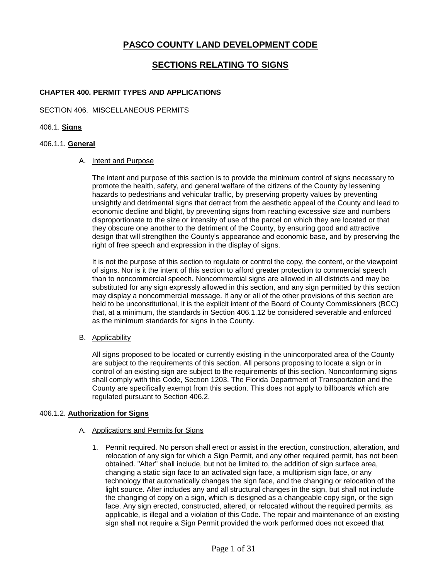# **PASCO COUNTY LAND DEVELOPMENT CODE**

# **SECTIONS RELATING TO SIGNS**

# **CHAPTER 400. PERMIT TYPES AND APPLICATIONS**

# SECTION 406. MISCELLANEOUS PERMITS

# 406.1. **Signs**

# 406.1.1. **General**

# A. Intent and Purpose

 The intent and purpose of this section is to provide the minimum control of signs necessary to promote the health, safety, and general welfare of the citizens of the County by lessening hazards to pedestrians and vehicular traffic, by preserving property values by preventing unsightly and detrimental signs that detract from the aesthetic appeal of the County and lead to economic decline and blight, by preventing signs from reaching excessive size and numbers disproportionate to the size or intensity of use of the parcel on which they are located or that they obscure one another to the detriment of the County, by ensuring good and attractive right of free speech and expression in the display of signs. design that will strengthen the County's appearance and economic base, and by preserving the

 It is not the purpose of this section to regulate or control the copy, the content, or the viewpoint of signs. Nor is it the intent of this section to afford greater protection to commercial speech than to noncommercial speech. Noncommercial signs are allowed in all districts and may be substituted for any sign expressly allowed in this section, and any sign permitted by this section may display a noncommercial message. If any or all of the other provisions of this section are held to be unconstitutional, it is the explicit intent of the Board of County Commissioners (BCC) that, at a minimum, the standards in Section [406.1.12](https://406.1.12) be considered severable and enforced as the minimum standards for signs in the County.

# B. Applicability

 All signs proposed to be located or currently existing in the unincorporated area of the County shall comply with this Code, Section 1203. The Florida Department of Transportation and the are subject to the requirements of this section. All persons proposing to locate a sign or in control of an existing sign are subject to the requirements of this section. Nonconforming signs County are specifically exempt from this section. This does not apply to billboards which are regulated pursuant to Section 406.2.

# 406.1.2. **Authorization for Signs**

#### A. **Applications and Permits for Signs**

 1. Permit required. No person shall erect or assist in the erection, construction, alteration, and relocation of any sign for which a Sign Permit, and any other required permit, has not been obtained. "Alter" shall include, but not be limited to, the addition of sign surface area, changing a static sign face to an activated sign face, a multiprism sign face, or any light source. Alter includes any and all structural changes in the sign, but shall not include the changing of copy on a sign, which is designed as a changeable copy sign, or the sign face. Any sign erected, constructed, altered, or relocated without the required permits, as applicable, is illegal and a violation of this Code. The repair and maintenance of an existing sign shall not require a Sign Permit provided the work performed does not exceed that technology that automatically changes the sign face, and the changing or relocation of the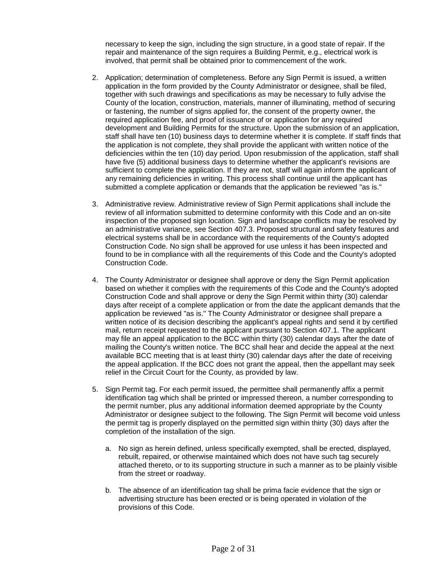necessary to keep the sign, including the sign structure, in a good state of repair. If the repair and maintenance of the sign requires a Building Permit, e.g., electrical work is involved, that permit shall be obtained prior to commencement of the work.

- application in the form provided by the County Administrator or designee, shall be filed, County of the location, construction, materials, manner of illuminating, method of securing or fastening, the number of signs applied for, the consent of the property owner, the development and Building Permits for the structure. Upon the submission of an application, staff shall have ten (10) business days to determine whether it is complete. If staff finds that the application is not complete, they shall provide the applicant with written notice of the deficiencies within the ten (10) day period. Upon resubmission of the application, staff shall sufficient to complete the application. If they are not, staff will again inform the applicant of any remaining deficiencies in writing. This process shall continue until the applicant has submitted a complete application or demands that the application be reviewed "as is." 2. Application; determination of completeness. Before any Sign Permit is issued, a written together with such drawings and specifications as may be necessary to fully advise the required application fee, and proof of issuance of or application for any required have five (5) additional business days to determine whether the applicant's revisions are
- 3. Administrative review. Administrative review of Sign Permit applications shall include the inspection of the proposed sign location. Sign and landscape conflicts may be resolved by electrical systems shall be in accordance with the requirements of the County's adopted found to be in compliance with all the requirements of this Code and the County's adopted Construction Code. review of all information submitted to determine conformity with this Code and an on-site an administrative variance, see Section 407.3. Proposed structural and safety features and Construction Code. No sign shall be approved for use unless it has been inspected and
- 4. The County Administrator or designee shall approve or deny the Sign Permit application based on whether it complies with the requirements of this Code and the County's adopted Construction Code and shall approve or deny the Sign Permit within thirty (30) calendar days after receipt of a complete application or from the date the applicant demands that the written notice of its decision describing the applicant's appeal rights and send it by certified may file an appeal application to the BCC within thirty (30) calendar days after the date of mailing the County's written notice. The BCC shall hear and decide the appeal at the next available BCC meeting that is at least thirty (30) calendar days after the date of receiving application be reviewed "as is." The County Administrator or designee shall prepare a mail, return receipt requested to the applicant pursuant to Section 407.1. The applicant the appeal application. If the BCC does not grant the appeal, then the appellant may seek relief in the Circuit Court for the County, as provided by law.
- identification tag which shall be printed or impressed thereon, a number corresponding to the permit number, plus any additional information deemed appropriate by the County the permit tag is properly displayed on the permitted sign within thirty (30) days after the completion of the installation of the sign. 5. Sign Permit tag. For each permit issued, the permittee shall permanently affix a permit Administrator or designee subject to the following. The Sign Permit will become void unless
	- rebuilt, repaired, or otherwise maintained which does not have such tag securely attached thereto, or to its supporting structure in such a manner as to be plainly visible a. No sign as herein defined, unless specifically exempted, shall be erected, displayed, from the street or roadway.
	- b. The absence of an identification tag shall be prima facie evidence that the sign or advertising structure has been erected or is being operated in violation of the provisions of this Code.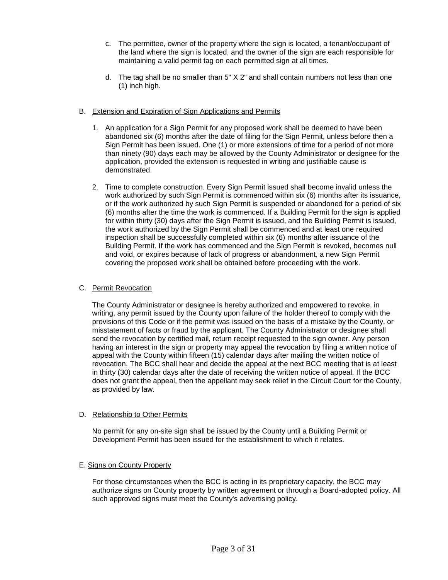- c. The permittee, owner of the property where the sign is located, a tenant/occupant of maintaining a valid permit tag on each permitted sign at all times. the land where the sign is located, and the owner of the sign are each responsible for
- d. The tag shall be no smaller than 5" X 2" and shall contain numbers not less than one (1) inch high.

# B. Extension and Expiration of Sign Applications and Permits

- 1. An application for a Sign Permit for any proposed work shall be deemed to have been abandoned six (6) months after the date of filing for the Sign Permit, unless before then a than ninety (90) days each may be allowed by the County Administrator or designee for the Sign Permit has been issued. One (1) or more extensions of time for a period of not more application, provided the extension is requested in writing and justifiable cause is demonstrated.
- 2. Time to complete construction. Every Sign Permit issued shall become invalid unless the work authorized by such Sign Permit is commenced within six (6) months after its issuance, (6) months after the time the work is commenced. If a Building Permit for the sign is applied for within thirty (30) days after the Sign Permit is issued, and the Building Permit is issued, the work authorized by the Sign Permit shall be commenced and at least one required Building Permit. If the work has commenced and the Sign Permit is revoked, becomes null and void, or expires because of lack of progress or abandonment, a new Sign Permit covering the proposed work shall be obtained before proceeding with the work. or if the work authorized by such Sign Permit is suspended or abandoned for a period of six inspection shall be successfully completed within six (6) months after issuance of the

# C. Permit Revocation

 writing, any permit issued by the County upon failure of the holder thereof to comply with the send the revocation by certified mail, return receipt requested to the sign owner. Any person having an interest in the sign or property may appeal the revocation by filing a written notice of revocation. The BCC shall hear and decide the appeal at the next BCC meeting that is at least in thirty (30) calendar days after the date of receiving the written notice of appeal. If the BCC as provided by law. The County Administrator or designee is hereby authorized and empowered to revoke, in provisions of this Code or if the permit was issued on the basis of a mistake by the County, or misstatement of facts or fraud by the applicant. The County Administrator or designee shall appeal with the County within fifteen (15) calendar days after mailing the written notice of does not grant the appeal, then the appellant may seek relief in the Circuit Court for the County,

#### D. Relationship to Other Permits

 No permit for any on-site sign shall be issued by the County until a Building Permit or Development Permit has been issued for the establishment to which it relates.

#### E. Signs on County Property

For those circumstances when the BCC is acting in its proprietary capacity, the BCC may authorize signs on County property by written agreement or through a Board-adopted policy. All such approved signs must meet the County's advertising policy.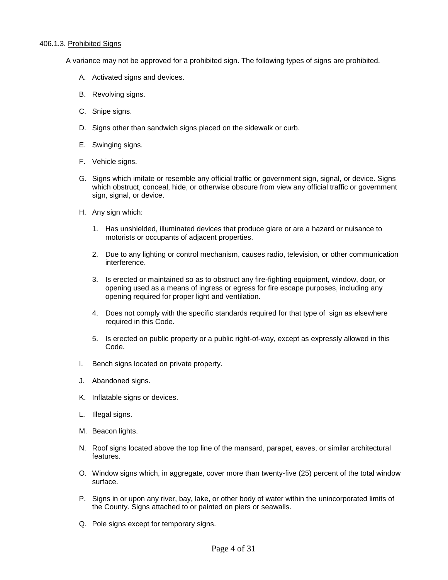### 406.1.3. Prohibited Signs

A variance may not be approved for a prohibited sign. The following types of signs are prohibited.

- A. Activated signs and devices.
- B. Revolving signs.
- C. Snipe signs.
- D. Signs other than sandwich signs placed on the sidewalk or curb.
- E. Swinging signs.
- F. Vehicle signs.
- G. Signs which imitate or resemble any official traffic or government sign, signal, or device. Signs which obstruct, conceal, hide, or otherwise obscure from view any official traffic or government sign, signal, or device.
- H. Any sign which:
	- 1. Has unshielded, illuminated devices that produce glare or are a hazard or nuisance to motorists or occupants of adjacent properties.
	- 2. Due to any lighting or control mechanism, causes radio, television, or other communication interference.
	- 3. Is erected or maintained so as to obstruct any fire-fighting equipment, window, door, or opening used as a means of ingress or egress for fire escape purposes, including any opening required for proper light and ventilation.
	- 4. Does not comply with the specific standards required for that type of sign as elsewhere required in this Code.
	- 5. Is erected on public property or a public right-of-way, except as expressly allowed in this Code.
- I. Bench signs located on private property.
- J. Abandoned signs.
- K. Inflatable signs or devices.
- L. Illegal signs.
- M. Beacon lights.
- N. Roof signs located above the top line of the mansard, parapet, eaves, or similar architectural features.
- O. Window signs which, in aggregate, cover more than twenty-five (25) percent of the total window surface.
- P. Signs in or upon any river, bay, lake, or other body of water within the unincorporated limits of the County. Signs attached to or painted on piers or seawalls.
- Q. Pole signs except for temporary signs.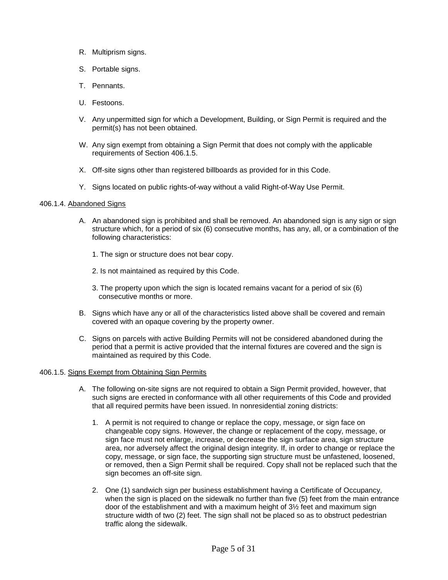- R. Multiprism signs.
- S. Portable signs.
- T. Pennants.
- U. Festoons.
- V. Any unpermitted sign for which a Development, Building, or Sign Permit is required and the permit(s) has not been obtained.
- W. Any sign exempt from obtaining a Sign Permit that does not comply with the applicable requirements of Section 406.1.5.
- X. Off-site signs other than registered billboards as provided for in this Code.
- Y. Signs located on public rights-of-way without a valid Right-of-Way Use Permit.

# 406.1.4. Abandoned Signs

- A. An abandoned sign is prohibited and shall be removed. An abandoned sign is any sign or sign structure which, for a period of six (6) consecutive months, has any, all, or a combination of the following characteristics:
	- 1. The sign or structure does not bear copy.
	- 2. Is not maintained as required by this Code.
	- 3. The property upon which the sign is located remains vacant for a period of six (6) consecutive months or more.
- B. Signs which have any or all of the characteristics listed above shall be covered and remain covered with an opaque covering by the property owner.
- C. Signs on parcels with active Building Permits will not be considered abandoned during the period that a permit is active provided that the internal fixtures are covered and the sign is maintained as required by this Code.

#### 406.1.5. Signs Exempt from Obtaining Sign Permits

- A. The following on-site signs are not required to obtain a Sign Permit provided, however, that such signs are erected in conformance with all other requirements of this Code and provided that all required permits have been issued. In nonresidential zoning districts:
	- changeable copy signs. However, the change or replacement of the copy, message, or area, nor adversely affect the original design integrity. If, in order to change or replace the or removed, then a Sign Permit shall be required. Copy shall not be replaced such that the 1. A permit is not required to change or replace the copy, message, or sign face on sign face must not enlarge, increase, or decrease the sign surface area, sign structure copy, message, or sign face, the supporting sign structure must be unfastened, loosened, sign becomes an off-site sign.
	- 2. One (1) sandwich sign per business establishment having a Certificate of Occupancy, structure width of two (2) feet. The sign shall not be placed so as to obstruct pedestrian traffic along the sidewalk. when the sign is placed on the sidewalk no further than five (5) feet from the main entrance door of the establishment and with a maximum height of 3½ feet and maximum sign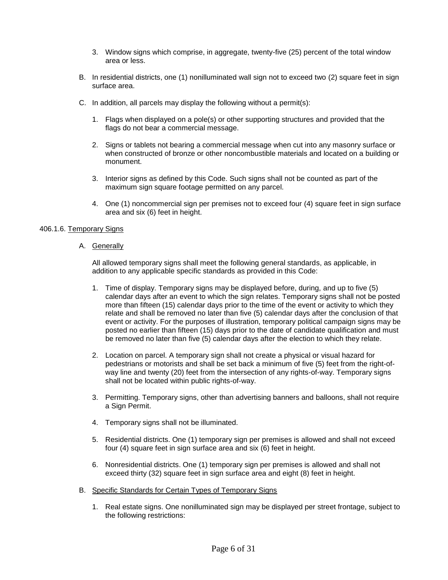- 3. Window signs which comprise, in aggregate, twenty-five (25) percent of the total window area or less.
- B. In residential districts, one (1) nonilluminated wall sign not to exceed two (2) square feet in sign surface area.
- C. In addition, all parcels may display the following without a permit(s):
	- 1. Flags when displayed on a pole(s) or other supporting structures and provided that the flags do not bear a commercial message.
	- when constructed of bronze or other noncombustible materials and located on a building or 2. Signs or tablets not bearing a commercial message when cut into any masonry surface or monument.
	- maximum sign square footage permitted on any parcel. 3. Interior signs as defined by this Code. Such signs shall not be counted as part of the
	- 4. One (1) noncommercial sign per premises not to exceed four (4) square feet in sign surface area and six (6) feet in height.

# 406.1.6. Temporary Signs

A. Generally

 addition to any applicable specific standards as provided in this Code: All allowed temporary signs shall meet the following general standards, as applicable, in

- 1. Time of display. Temporary signs may be displayed before, during, and up to five (5) event or activity. For the purposes of illustration, temporary political campaign signs may be posted no earlier than fifteen (15) days prior to the date of candidate qualification and must be removed no later than five (5) calendar days after the election to which they relate. calendar days after an event to which the sign relates. Temporary signs shall not be posted more than fifteen (15) calendar days prior to the time of the event or activity to which they relate and shall be removed no later than five (5) calendar days after the conclusion of that
- 2. Location on parcel. A temporary sign shall not create a physical or visual hazard for way line and twenty (20) feet from the intersection of any rights-of-way. Temporary signs shall not be located within public rights-of-way. pedestrians or motorists and shall be set back a minimum of five (5) feet from the right-of-
- a Sign Permit. 3. Permitting. Temporary signs, other than advertising banners and balloons, shall not require
- 4. Temporary signs shall not be illuminated.
- 5. Residential districts. One (1) temporary sign per premises is allowed and shall not exceed four (4) square feet in sign surface area and six (6) feet in height.
- 6. Nonresidential districts. One (1) temporary sign per premises is allowed and shall not exceed thirty (32) square feet in sign surface area and eight (8) feet in height.
- B. Specific Standards for Certain Types of Temporary Signs
	- 1. Real estate signs. One nonilluminated sign may be displayed per street frontage, subject to the following restrictions: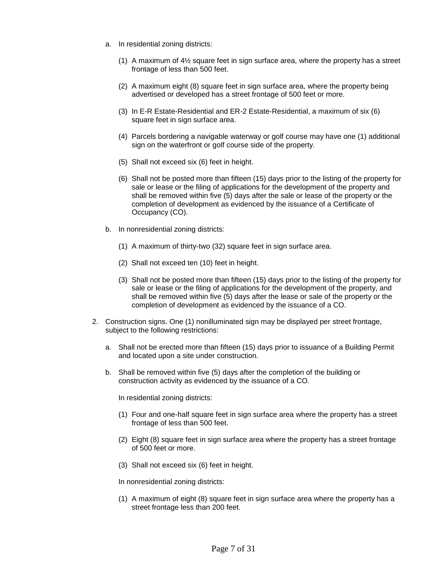- a. In residential zoning districts:
	- (1) A maximum of  $4\frac{1}{2}$  square feet in sign surface area, where the property has a street frontage of less than 500 feet.
	- (2) A maximum eight (8) square feet in sign surface area, where the property being advertised or developed has a street frontage of 500 feet or more.
	- (3) In E-R Estate-Residential and ER-2 Estate-Residential, a maximum of six (6) square feet in sign surface area.
	- (4) Parcels bordering a navigable waterway or golf course may have one (1) additional sign on the waterfront or golf course side of the property.
	- (5) Shall not exceed six (6) feet in height.
	- (6) Shall not be posted more than fifteen (15) days prior to the listing of the property for completion of development as evidenced by the issuance of a Certificate of sale or lease or the filing of applications for the development of the property and shall be removed within five (5) days after the sale or lease of the property or the Occupancy (CO).
- b. In nonresidential zoning districts:
	- (1) A maximum of thirty-two (32) square feet in sign surface area.
	- (2) Shall not exceed ten (10) feet in height.
	- (3) Shall not be posted more than fifteen (15) days prior to the listing of the property for shall be removed within five (5) days after the lease or sale of the property or the completion of development as evidenced by the issuance of a CO. sale or lease or the filing of applications for the development of the property, and
- 2. Construction signs. One (1) nonilluminated sign may be displayed per street frontage, subject to the following restrictions:
	- a. Shall not be erected more than fifteen (15) days prior to issuance of a Building Permit and located upon a site under construction.
	- b. Shall be removed within five (5) days after the completion of the building or construction activity as evidenced by the issuance of a CO.

In residential zoning districts:

- frontage of less than 500 feet. (1) Four and one-half square feet in sign surface area where the property has a street
- (2) Eight (8) square feet in sign surface area where the property has a street frontage of 500 feet or more.
- (3) Shall not exceed six (6) feet in height.

In nonresidential zoning districts:

 (1) A maximum of eight (8) square feet in sign surface area where the property has a street frontage less than 200 feet.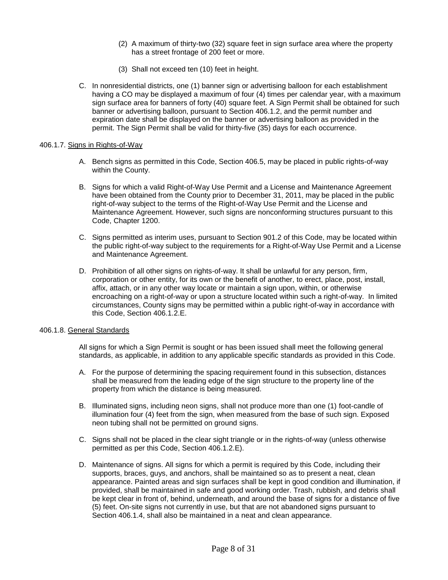- (2) A maximum of thirty-two (32) square feet in sign surface area where the property has a street frontage of 200 feet or more.
- (3) Shall not exceed ten (10) feet in height.
- sign surface area for banners of forty (40) square feet. A Sign Permit shall be obtained for such expiration date shall be displayed on the banner or advertising balloon as provided in the C. In nonresidential districts, one (1) banner sign or advertising balloon for each establishment having a CO may be displayed a maximum of four (4) times per calendar year, with a maximum banner or advertising balloon, pursuant to Section 406.1.2, and the permit number and permit. The Sign Permit shall be valid for thirty-five (35) days for each occurrence.

#### 406.1.7. Signs in Rights-of-Way

- A. Bench signs as permitted in this Code, Section 406.5, may be placed in public rights-of-way within the County.
- have been obtained from the County prior to December 31, 2011, may be placed in the public right-of-way subject to the terms of the Right-of-Way Use Permit and the License and Maintenance Agreement. However, such signs are nonconforming structures pursuant to this Code, Chapter 1200. B. Signs for which a valid Right-of-Way Use Permit and a License and Maintenance Agreement
- C. Signs permitted as interim uses, pursuant to Section 901.2 of this Code, may be located within the public right-of-way subject to the requirements for a Right-of-Way Use Permit and a License and Maintenance Agreement.
- affix, attach, or in any other way locate or maintain a sign upon, within, or otherwise encroaching on a right-of-way or upon a structure located within such a right-of-way. In limited circumstances, County signs may be permitted within a public right-of-way in accordance with D. Prohibition of all other signs on rights-of-way. It shall be unlawful for any person, firm, corporation or other entity, for its own or the benefit of another, to erect, place, post, install, this Code, Section 406.1.2.E.

#### 406.1.8. General Standards

 All signs for which a Sign Permit is sought or has been issued shall meet the following general standards, as applicable, in addition to any applicable specific standards as provided in this Code.

- A. For the purpose of determining the spacing requirement found in this subsection, distances shall be measured from the leading edge of the sign structure to the property line of the property from which the distance is being measured.
- neon tubing shall not be permitted on ground signs. B. Illuminated signs, including neon signs, shall not produce more than one (1) foot-candle of illumination four (4) feet from the sign, when measured from the base of such sign. Exposed
- permitted as per this Code, Section 406.1.2.E). C. Signs shall not be placed in the clear sight triangle or in the rights-of-way (unless otherwise
- supports, braces, guys, and anchors, shall be maintained so as to present a neat, clean (5) feet. On-site signs not currently in use, but that are not abandoned signs pursuant to D. Maintenance of signs. All signs for which a permit is required by this Code, including their appearance. Painted areas and sign surfaces shall be kept in good condition and illumination, if provided, shall be maintained in safe and good working order. Trash, rubbish, and debris shall be kept clear in front of, behind, underneath, and around the base of signs for a distance of five Section 406.1.4, shall also be maintained in a neat and clean appearance.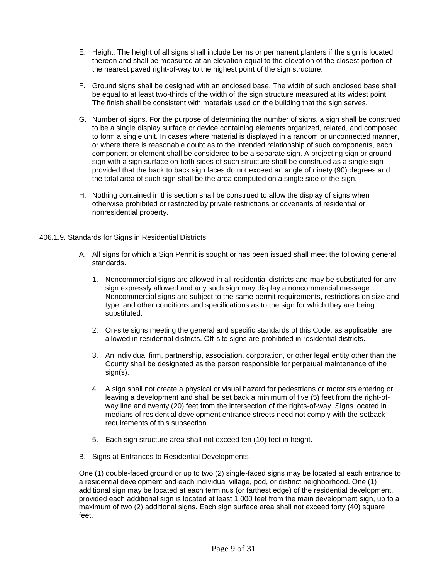- thereon and shall be measured at an elevation equal to the elevation of the closest portion of the nearest paved right-of-way to the highest point of the sign structure. E. Height. The height of all signs shall include berms or permanent planters if the sign is located
- F. Ground signs shall be designed with an enclosed base. The width of such enclosed base shall The finish shall be consistent with materials used on the building that the sign serves. be equal to at least two-thirds of the width of the sign structure measured at its widest point.
- the total area of such sign shall be the area computed on a single side of the sign. G. Number of signs. For the purpose of determining the number of signs, a sign shall be construed to be a single display surface or device containing elements organized, related, and composed to form a single unit. In cases where material is displayed in a random or unconnected manner, or where there is reasonable doubt as to the intended relationship of such components, each component or element shall be considered to be a separate sign. A projecting sign or ground sign with a sign surface on both sides of such structure shall be construed as a single sign provided that the back to back sign faces do not exceed an angle of ninety (90) degrees and
- H. Nothing contained in this section shall be construed to allow the display of signs when otherwise prohibited or restricted by private restrictions or covenants of residential or nonresidential property.

# 406.1.9. Standards for Signs in Residential Districts

- A. All signs for which a Sign Permit is sought or has been issued shall meet the following general standards.
	- sign expressly allowed and any such sign may display a noncommercial message. type, and other conditions and specifications as to the sign for which they are being 1. Noncommercial signs are allowed in all residential districts and may be substituted for any Noncommercial signs are subject to the same permit requirements, restrictions on size and substituted.
	- allowed in residential districts. Off-site signs are prohibited in residential districts. 2. On-site signs meeting the general and specific standards of this Code, as applicable, are
	- 3. An individual firm, partnership, association, corporation, or other legal entity other than the County shall be designated as the person responsible for perpetual maintenance of the sign(s).
	- way line and twenty (20) feet from the intersection of the rights-of-way. Signs located in medians of residential development entrance streets need not comply with the setback 4. A sign shall not create a physical or visual hazard for pedestrians or motorists entering or leaving a development and shall be set back a minimum of five (5) feet from the right-ofrequirements of this subsection.
	- 5. Each sign structure area shall not exceed ten (10) feet in height.
- B. Signs at Entrances to Residential Developments

 additional sign may be located at each terminus (or farthest edge) of the residential development, One (1) double-faced ground or up to two (2) single-faced signs may be located at each entrance to a residential development and each individual village, pod, or distinct neighborhood. One (1) provided each additional sign is located at least 1,000 feet from the main development sign, up to a maximum of two (2) additional signs. Each sign surface area shall not exceed forty (40) square feet.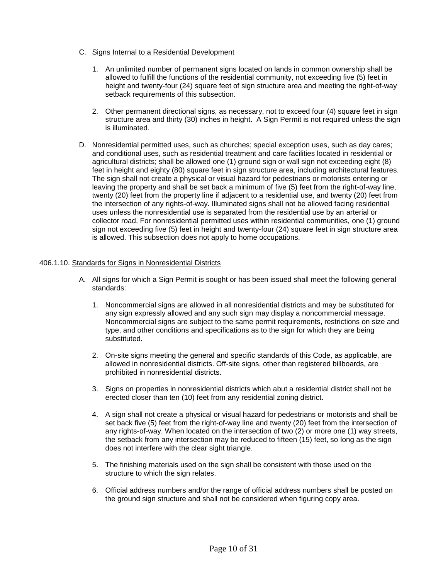- C. Signs Internal to a Residential Development
	- height and twenty-four (24) square feet of sign structure area and meeting the right-of-way 1. An unlimited number of permanent signs located on lands in common ownership shall be allowed to fulfill the functions of the residential community, not exceeding five (5) feet in setback requirements of this subsection.
	- structure area and thirty (30) inches in height. A Sign Permit is not required unless the sign 2. Other permanent directional signs, as necessary, not to exceed four (4) square feet in sign is illuminated.
- D. Nonresidential permitted uses, such as churches; special exception uses, such as day cares; feet in height and eighty (80) square feet in sign structure area, including architectural features. feet in height and eighty (80) square feet in sign structure area, including architectural features.<br>The sign shall not create a physical or visual hazard for pedestrians or motorists entering or leaving the property and shall be set back a minimum of five (5) feet from the right-of-way line, twenty (20) feet from the property line if adjacent to a residential use, and twenty (20) feet from the intersection of any rights-of-way. Illuminated signs shall not be allowed facing residential uses unless the nonresidential use is separated from the residential use by an arterial or and conditional uses, such as residential treatment and care facilities located in residential or agricultural districts; shall be allowed one (1) ground sign or wall sign not exceeding eight (8) collector road. For nonresidential permitted uses within residential communities, one (1) ground sign not exceeding five (5) feet in height and twenty-four (24) square feet in sign structure area is allowed. This subsection does not apply to home occupations.

# [406.1.10.](https://406.1.10) Standards for Signs in Nonresidential Districts

- A. All signs for which a Sign Permit is sought or has been issued shall meet the following general standards:
	- 1. Noncommercial signs are allowed in all nonresidential districts and may be substituted for type, and other conditions and specifications as to the sign for which they are being any sign expressly allowed and any such sign may display a noncommercial message. Noncommercial signs are subject to the same permit requirements, restrictions on size and substituted.
	- prohibited in nonresidential districts. 2. On-site signs meeting the general and specific standards of this Code, as applicable, are allowed in nonresidential districts. Off-site signs, other than registered billboards, are
	- 3. Signs on properties in nonresidential districts which abut a residential district shall not be erected closer than ten (10) feet from any residential zoning district.
	- set back five (5) feet from the right-of-way line and twenty (20) feet from the intersection of 4. A sign shall not create a physical or visual hazard for pedestrians or motorists and shall be any rights-of-way. When located on the intersection of two (2) or more one (1) way streets, the setback from any intersection may be reduced to fifteen (15) feet, so long as the sign does not interfere with the clear sight triangle.
	- 5. The finishing materials used on the sign shall be consistent with those used on the structure to which the sign relates.
	- 6. Official address numbers and/or the range of official address numbers shall be posted on the ground sign structure and shall not be considered when figuring copy area.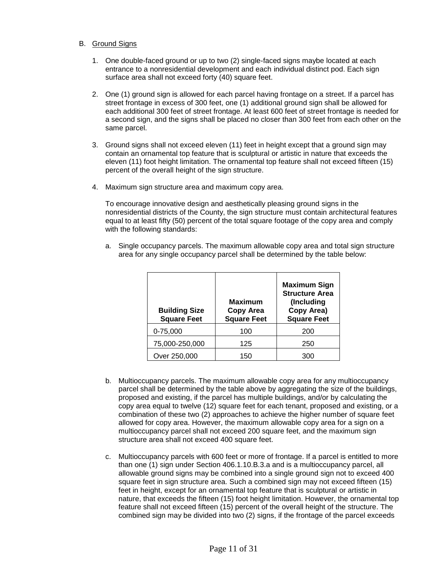- B. Ground Signs
	- entrance to a nonresidential development and each individual distinct pod. Each sign 1. One double-faced ground or up to two (2) single-faced signs maybe located at each surface area shall not exceed forty (40) square feet.
	- 2. One (1) ground sign is allowed for each parcel having frontage on a street. If a parcel has street frontage in excess of 300 feet, one (1) additional ground sign shall be allowed for a second sign, and the signs shall be placed no closer than 300 feet from each other on the each additional 300 feet of street frontage. At least 600 feet of street frontage is needed for same parcel.
	- percent of the overall height of the sign structure. 3. Ground signs shall not exceed eleven (11) feet in height except that a ground sign may contain an ornamental top feature that is sculptural or artistic in nature that exceeds the eleven (11) foot height limitation. The ornamental top feature shall not exceed fifteen (15)
	- 4. Maximum sign structure area and maximum copy area.

 4. Maximum sign structure area and maximum copy area. To encourage innovative design and aesthetically pleasing ground signs in the nonresidential districts of the County, the sign structure must contain architectural features equal to at least fifty (50) percent of the total square footage of the copy area and comply with the following standards:

 a. Single occupancy parcels. The maximum allowable copy area and total sign structure area for any single occupancy parcel shall be determined by the table below:

| <b>Building Size</b><br><b>Square Feet</b> | <b>Maximum</b><br><b>Copy Area</b><br><b>Square Feet</b> | <b>Maximum Sign</b><br><b>Structure Area</b><br>(Including<br>Copy Area)<br><b>Square Feet</b> |
|--------------------------------------------|----------------------------------------------------------|------------------------------------------------------------------------------------------------|
| 0-75,000                                   | 100                                                      | 200                                                                                            |
| 75,000-250,000                             | 125                                                      | 250                                                                                            |
| Over 250,000                               | 150                                                      | 300                                                                                            |

- parcel shall be determined by the table above by aggregating the size of the buildings, allowed for copy area. However, the maximum allowable copy area for a sign on a multioccupancy parcel shall not exceed 200 square feet, and the maximum sign b. Multioccupancy parcels. The maximum allowable copy area for any multioccupancy proposed and existing, if the parcel has multiple buildings, and/or by calculating the copy area equal to twelve (12) square feet for each tenant, proposed and existing, or a combination of these two (2) approaches to achieve the higher number of square feet structure area shall not exceed 400 square feet.
- c. Multioccupancy parcels with 600 feet or more of frontage. If a parcel is entitled to more than one (1) sign under Section 406.1.10.B.3.a and is a multioccupancy parcel, all feature shall not exceed fifteen (15) percent of the overall height of the structure. The allowable ground signs may be combined into a single ground sign not to exceed 400 square feet in sign structure area. Such a combined sign may not exceed fifteen (15) feet in height, except for an ornamental top feature that is sculptural or artistic in nature, that exceeds the fifteen (15) foot height limitation. However, the ornamental top combined sign may be divided into two (2) signs, if the frontage of the parcel exceeds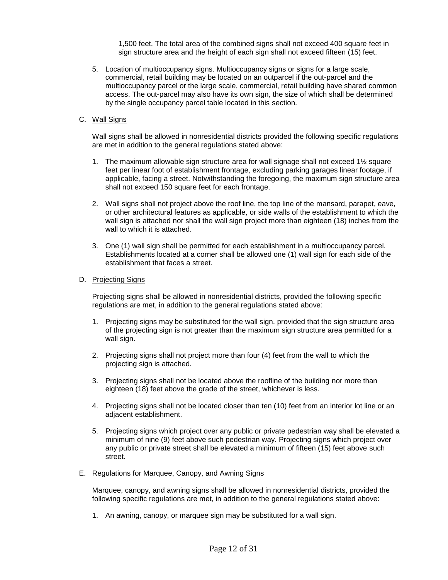1,500 feet. The total area of the combined signs shall not exceed 400 square feet in sign structure area and the height of each sign shall not exceed fifteen (15) feet.

 5. Location of multioccupancy signs. Multioccupancy signs or signs for a large scale, commercial, retail building may be located on an outparcel if the out-parcel and the access. The out-parcel may also have its own sign, the size of which shall be determined by the single occupancy parcel table located in this section. multioccupancy parcel or the large scale, commercial, retail building have shared common

# C. Wall Signs

 Wall signs shall be allowed in nonresidential districts provided the following specific regulations are met in addition to the general regulations stated above:

- 1. The maximum allowable sign structure area for wall signage shall not exceed 1½ square applicable, facing a street. Notwithstanding the foregoing, the maximum sign structure area feet per linear foot of establishment frontage, excluding parking garages linear footage, if shall not exceed 150 square feet for each frontage.
- 2. Wall signs shall not project above the roof line, the top line of the mansard, parapet, eave, or other architectural features as applicable, or side walls of the establishment to which the wall sign is attached nor shall the wall sign project more than eighteen (18) inches from the wall to which it is attached.
- establishment that faces a street. 3. One (1) wall sign shall be permitted for each establishment in a multioccupancy parcel. Establishments located at a corner shall be allowed one (1) wall sign for each side of the

# D. Projecting Signs

 Projecting signs shall be allowed in nonresidential districts, provided the following specific regulations are met, in addition to the general regulations stated above:

- of the projecting sign is not greater than the maximum sign structure area permitted for a 1. Projecting signs may be substituted for the wall sign, provided that the sign structure area wall sign.
- 2. Projecting signs shall not project more than four (4) feet from the wall to which the projecting sign is attached.
- 3. Projecting signs shall not be located above the roofline of the building nor more than eighteen (18) feet above the grade of the street, whichever is less.
- 4. Projecting signs shall not be located closer than ten (10) feet from an interior lot line or an adjacent establishment.
- minimum of nine (9) feet above such pedestrian way. Projecting signs which project over any public or private street shall be elevated a minimum of fifteen (15) feet above such 5. Projecting signs which project over any public or private pedestrian way shall be elevated a street.

#### E. Regulations for Marquee, Canopy, and Awning Signs

 following specific regulations are met, in addition to the general regulations stated above: Marquee, canopy, and awning signs shall be allowed in nonresidential districts, provided the

1. An awning, canopy, or marquee sign may be substituted for a wall sign.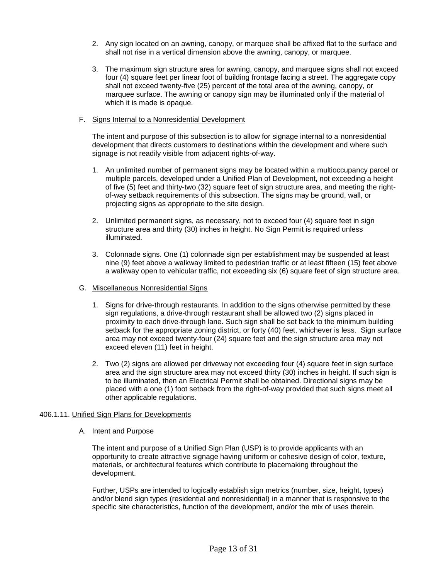- 2. Any sign located on an awning, canopy, or marquee shall be affixed flat to the surface and shall not rise in a vertical dimension above the awning, canopy, or marquee.
- 3. The maximum sign structure area for awning, canopy, and marquee signs shall not exceed marquee surface. The awning or canopy sign may be illuminated only if the material of four (4) square feet per linear foot of building frontage facing a street. The aggregate copy shall not exceed twenty-five (25) percent of the total area of the awning, canopy, or which it is made is opaque.

# F. Signs Internal to a Nonresidential Development

 The intent and purpose of this subsection is to allow for signage internal to a nonresidential development that directs customers to destinations within the development and where such signage is not readily visible from adjacent rights-of-way.

- 1. An unlimited number of permanent signs may be located within a multioccupancy parcel or multiple parcels, developed under a Unified Plan of Development, not exceeding a height of five (5) feet and thirty-two (32) square feet of sign structure area, and meeting the rightof-way setback requirements of this subsection. The signs may be ground, wall, or projecting signs as appropriate to the site design.
- structure area and thirty (30) inches in height. No Sign Permit is required unless 2. Unlimited permanent signs, as necessary, not to exceed four (4) square feet in sign illuminated.
- nine (9) feet above a walkway limited to pedestrian traffic or at least fifteen (15) feet above a walkway open to vehicular traffic, not exceeding six (6) square feet of sign structure area. 3. Colonnade signs. One (1) colonnade sign per establishment may be suspended at least
- G. Miscellaneous Nonresidential Signs
	- sign regulations, a drive-through restaurant shall be allowed two (2) signs placed in proximity to each drive-through lane. Such sign shall be set back to the minimum building setback for the appropriate zoning district, or forty (40) feet, whichever is less. Sign surface 1. Signs for drive-through restaurants. In addition to the signs otherwise permitted by these area may not exceed twenty-four (24) square feet and the sign structure area may not exceed eleven (11) feet in height.
	- area and the sign structure area may not exceed thirty (30) inches in height. If such sign is placed with a one (1) foot setback from the right-of-way provided that such signs meet all 2. Two (2) signs are allowed per driveway not exceeding four (4) square feet in sign surface to be illuminated, then an Electrical Permit shall be obtained. Directional signs may be other applicable regulations.

# [406.1.11.](https://406.1.11) Unified Sign Plans for Developments

A. Intent and Purpose

The intent and purpose of a Unified Sign Plan (USP) is to provide applicants with an opportunity to create attractive signage having uniform or cohesive design of color, texture, materials, or architectural features which contribute to placemaking throughout the development.

 Further, USPs are intended to logically establish sign metrics (number, size, height, types) and/or blend sign types (residential and nonresidential) in a manner that is responsive to the specific site characteristics, function of the development, and/or the mix of uses therein.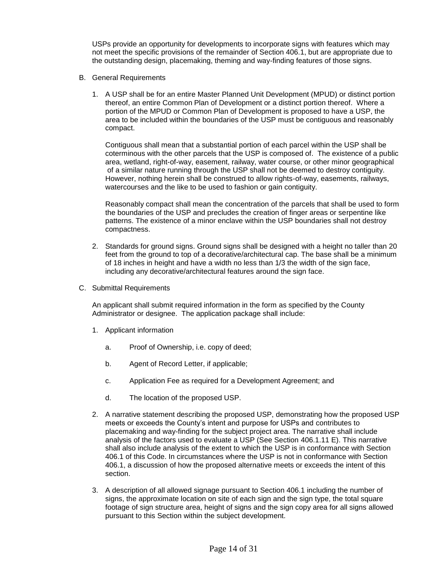USPs provide an opportunity for developments to incorporate signs with features which may not meet the specific provisions of the remainder of Section 406.1, but are appropriate due to the outstanding design, placemaking, theming and way-finding features of those signs.

- B. General Requirements
	- area to be included within the boundaries of the USP must be contiguous and reasonably 1. A USP shall be for an entire Master Planned Unit Development (MPUD) or distinct portion thereof, an entire Common Plan of Development or a distinct portion thereof. Where a portion of the MPUD or Common Plan of Development is proposed to have a USP, the compact.

Contiguous shall mean that a substantial portion of each parcel within the USP shall be coterminous with the other parcels that the USP is composed of. The existence of a public area, wetland, right-of-way, easement, railway, water course, or other minor geographical of a similar nature running through the USP shall not be deemed to destroy contiguity. However, nothing herein shall be construed to allow rights-of-way, easements, railways, watercourses and the like to be used to fashion or gain contiguity.

Reasonably compact shall mean the concentration of the parcels that shall be used to form the boundaries of the USP and precludes the creation of finger areas or serpentine like patterns. The existence of a minor enclave within the USP boundaries shall not destroy compactness.

- feet from the ground to top of a decorative/architectural cap. The base shall be a minimum of 18 inches in height and have a width no less than 1/3 the width of the sign face, 2. Standards for ground signs. Ground signs shall be designed with a height no taller than 20 including any decorative/architectural features around the sign face.
- C. Submittal Requirements

An applicant shall submit required information in the form as specified by the County Administrator or designee. The application package shall include:

- 1. Applicant information
	- a. Proof of Ownership, i.e. copy of deed;
	- b. Agent of Record Letter, if applicable;
	- c. Application Fee as required for a Development Agreement; and
	- d. The location of the proposed USP.
- 2. A narrative statement describing the proposed USP, demonstrating how the proposed USP meets or exceeds the County's intent and purpose for USPs and contributes to placemaking and way-finding for the subject project area. The narrative shall include analysis of the factors used to evaluate a USP (See Section [406.1.11](https://406.1.11) E). This narrative shall also include analysis of the extent to which the USP is in conformance with Section 406.1 of this Code. In circumstances where the USP is not in conformance with Section 406.1, a discussion of how the proposed alternative meets or exceeds the intent of this section.
- 3. A description of all allowed signage pursuant to Section 406.1 including the number of signs, the approximate location on site of each sign and the sign type, the total square footage of sign structure area, height of signs and the sign copy area for all signs allowed pursuant to this Section within the subject development.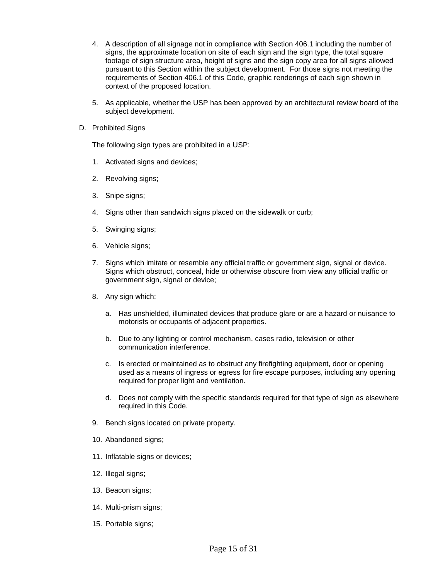- 4. A description of all signage not in compliance with Section 406.1 including the number of signs, the approximate location on site of each sign and the sign type, the total square footage of sign structure area, height of signs and the sign copy area for all signs allowed pursuant to this Section within the subject development. For those signs not meeting the requirements of Section 406.1 of this Code, graphic renderings of each sign shown in context of the proposed location.
- 5. As applicable, whether the USP has been approved by an architectural review board of the subject development.
- D. Prohibited Signs

The following sign types are prohibited in a USP:

- 1. Activated signs and devices;
- 2. Revolving signs;
- 3. Snipe signs;
- 4. Signs other than sandwich signs placed on the sidewalk or curb;
- 5. Swinging signs;
- 6. Vehicle signs;
- 7. Signs which imitate or resemble any official traffic or government sign, signal or device. Signs which obstruct, conceal, hide or otherwise obscure from view any official traffic or government sign, signal or device;
- 8. Any sign which;
	- a. Has unshielded, illuminated devices that produce glare or are a hazard or nuisance to motorists or occupants of adjacent properties.
	- b. Due to any lighting or control mechanism, cases radio, television or other communication interference.
	- c. Is erected or maintained as to obstruct any firefighting equipment, door or opening used as a means of ingress or egress for fire escape purposes, including any opening required for proper light and ventilation.
	- d. Does not comply with the specific standards required for that type of sign as elsewhere required in this Code.
- 9. Bench signs located on private property.
- 10. Abandoned signs;
- 11. Inflatable signs or devices;
- 12. Illegal signs;
- 13. Beacon signs;
- 14. Multi-prism signs;
- 15. Portable signs;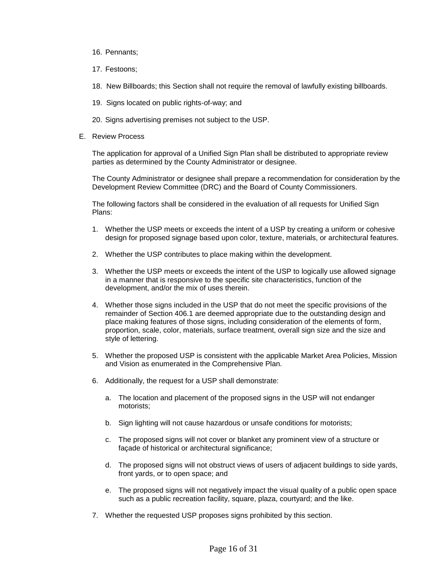- 16. Pennants;
- 17. Festoons;
- 18. New Billboards; this Section shall not require the removal of lawfully existing billboards.
- 19. Signs located on public rights-of-way; and
- 20. Signs advertising premises not subject to the USP.
- E. Review Process

The application for approval of a Unified Sign Plan shall be distributed to appropriate review parties as determined by the County Administrator or designee.

The County Administrator or designee shall prepare a recommendation for consideration by the Development Review Committee (DRC) and the Board of County Commissioners.

The following factors shall be considered in the evaluation of all requests for Unified Sign Plans:

- 1. Whether the USP meets or exceeds the intent of a USP by creating a uniform or cohesive design for proposed signage based upon color, texture, materials, or architectural features.
- 2. Whether the USP contributes to place making within the development.
- 3. Whether the USP meets or exceeds the intent of the USP to logically use allowed signage in a manner that is responsive to the specific site characteristics, function of the development, and/or the mix of uses therein.
- 4. Whether those signs included in the USP that do not meet the specific provisions of the remainder of Section 406.1 are deemed appropriate due to the outstanding design and place making features of those signs, including consideration of the elements of form, proportion, scale, color, materials, surface treatment, overall sign size and the size and style of lettering.
- 5. Whether the proposed USP is consistent with the applicable Market Area Policies, Mission and Vision as enumerated in the Comprehensive Plan.
- 6. Additionally, the request for a USP shall demonstrate:
	- a. The location and placement of the proposed signs in the USP will not endanger motorists;
	- b. Sign lighting will not cause hazardous or unsafe conditions for motorists;
	- c. The proposed signs will not cover or blanket any prominent view of a structure or façade of historical or architectural significance;
	- d. The proposed signs will not obstruct views of users of adjacent buildings to side yards, front yards, or to open space; and
	- e. The proposed signs will not negatively impact the visual quality of a public open space such as a public recreation facility, square, plaza, courtyard; and the like.
- 7. Whether the requested USP proposes signs prohibited by this section.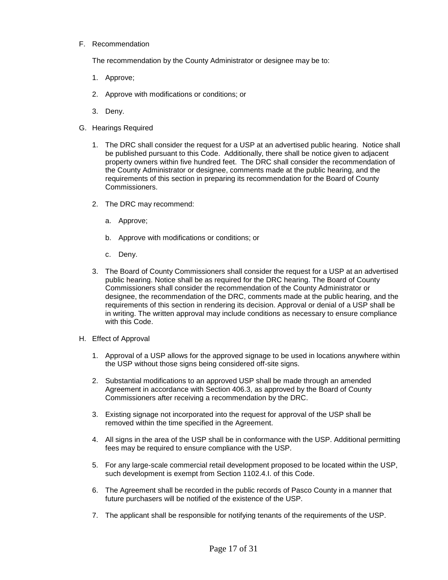F. Recommendation

The recommendation by the County Administrator or designee may be to:

- 1. Approve;
- 2. Approve with modifications or conditions; or
- 3. Deny.
- G. Hearings Required
	- 1. The DRC shall consider the request for a USP at an advertised public hearing. Notice shall be published pursuant to this Code. Additionally, there shall be notice given to adjacent property owners within five hundred feet. The DRC shall consider the recommendation of the County Administrator or designee, comments made at the public hearing, and the requirements of this section in preparing its recommendation for the Board of County Commissioners.
	- 2. The DRC may recommend:
		- a. Approve;
		- b. Approve with modifications or conditions; or
		- c. Deny.
	- 3. The Board of County Commissioners shall consider the request for a USP at an advertised public hearing. Notice shall be as required for the DRC hearing. The Board of County Commissioners shall consider the recommendation of the County Administrator or designee, the recommendation of the DRC, comments made at the public hearing, and the requirements of this section in rendering its decision. Approval or denial of a USP shall be in writing. The written approval may include conditions as necessary to ensure compliance with this Code.
- H. Effect of Approval
	- 1. Approval of a USP allows for the approved signage to be used in locations anywhere within the USP without those signs being considered off-site signs.
	- 2. Substantial modifications to an approved USP shall be made through an amended Agreement in accordance with Section 406.3, as approved by the Board of County Commissioners after receiving a recommendation by the DRC.
	- 3. Existing signage not incorporated into the request for approval of the USP shall be removed within the time specified in the Agreement.
	- 4. All signs in the area of the USP shall be in conformance with the USP. Additional permitting fees may be required to ensure compliance with the USP.
	- 5. For any large-scale commercial retail development proposed to be located within the USP, such development is exempt from Section 1102.4.I. of this Code.
	- 6. The Agreement shall be recorded in the public records of Pasco County in a manner that future purchasers will be notified of the existence of the USP.
	- 7. The applicant shall be responsible for notifying tenants of the requirements of the USP.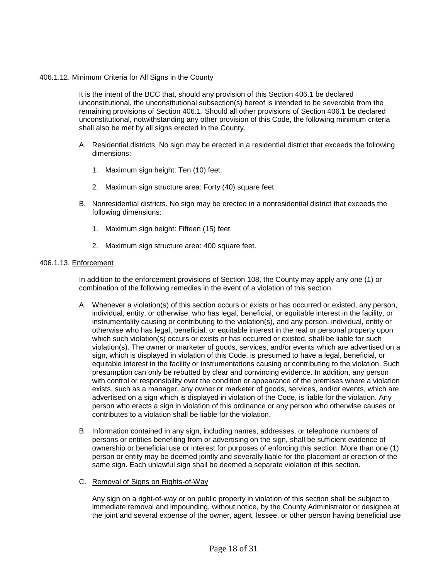#### [406.1.12.](https://406.1.12) Minimum Criteria for All Signs in the County

 It is the intent of the BCC that, should any provision of this Section 406.1 be declared remaining provisions of Section 406.1. Should all other provisions of Section 406.1 be declared unconstitutional, notwithstanding any other provision of this Code, the following minimum criteria unconstitutional, the unconstitutional subsection(s) hereof is intended to be severable from the shall also be met by all signs erected in the County.

- A. Residential districts. No sign may be erected in a residential district that exceeds the following dimensions:
	- 1. Maximum sign height: Ten (10) feet.
	- 2. Maximum sign structure area: Forty (40) square feet.
- B. Nonresidential districts. No sign may be erected in a nonresidential district that exceeds the following dimensions:
	- 1. Maximum sign height: Fifteen (15) feet.
	- 2. Maximum sign structure area: 400 square feet.

#### [406.1.13.](https://406.1.13) Enforcement

 In addition to the enforcement provisions of Section 108, the County may apply any one (1) or combination of the following remedies in the event of a violation of this section.

- A. Whenever a violation(s) of this section occurs or exists or has occurred or existed, any person, instrumentality causing or contributing to the violation(s), and any person, individual, entity or presumption can only be rebutted by clear and convincing evidence. In addition, any person with control or responsibility over the condition or appearance of the premises where a violation advertised on a sign which is displayed in violation of the Code, is liable for the violation. Any person who erects a sign in violation of this ordinance or any person who otherwise causes or individual, entity, or otherwise, who has legal, beneficial, or equitable interest in the facility, or otherwise who has legal, beneficial, or equitable interest in the real or personal property upon which such violation(s) occurs or exists or has occurred or existed, shall be liable for such violation(s). The owner or marketer of goods, services, and/or events which are advertised on a sign, which is displayed in violation of this Code, is presumed to have a legal, beneficial, or equitable interest in the facility or instrumentations causing or contributing to the violation. Such exists, such as a manager, any owner or marketer of goods, services, and/or events, which are contributes to a violation shall be liable for the violation.
- ownership or beneficial use or interest for purposes of enforcing this section. More than one (1) same sign. Each unlawful sign shall be deemed a separate violation of this section. B. Information contained in any sign, including names, addresses, or telephone numbers of persons or entities benefiting from or advertising on the sign, shall be sufficient evidence of person or entity may be deemed jointly and severally liable for the placement or erection of the
- C. Removal of Signs on Rights-of-Way

 immediate removal and impounding, without notice, by the County Administrator or designee at the joint and several expense of the owner, agent, lessee, or other person having beneficial use Any sign on a right-of-way or on public property in violation of this section shall be subject to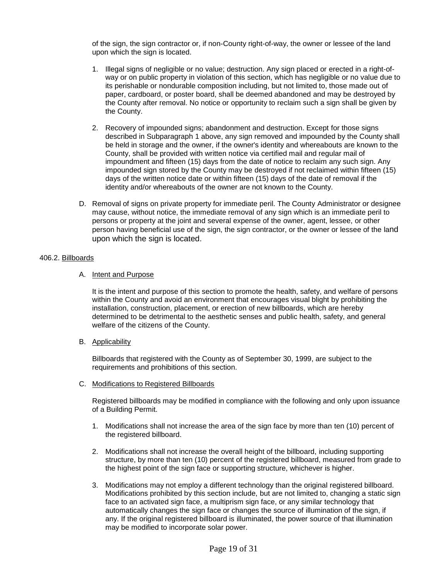of the sign, the sign contractor or, if non-County right-of-way, the owner or lessee of the land upon which the sign is located.

- 1. Illegal signs of negligible or no value; destruction. Any sign placed or erected in a right-of- its perishable or nondurable composition including, but not limited to, those made out of paper, cardboard, or poster board, shall be deemed abandoned and may be destroyed by way or on public property in violation of this section, which has negligible or no value due to the County after removal. No notice or opportunity to reclaim such a sign shall be given by the County.
- 2. Recovery of impounded signs; abandonment and destruction. Except for those signs described in Subparagraph 1 above, any sign removed and impounded by the County shall be held in storage and the owner, if the owner's identity and whereabouts are known to the days of the written notice date or within fifteen (15) days of the date of removal if the identity and/or whereabouts of the owner are not known to the County. County, shall be provided with written notice via certified mail and regular mail of impoundment and fifteen (15) days from the date of notice to reclaim any such sign. Any impounded sign stored by the County may be destroyed if not reclaimed within fifteen (15)
- may cause, without notice, the immediate removal of any sign which is an immediate peril to persons or property at the joint and several expense of the owner, agent, lessee, or other D. Removal of signs on private property for immediate peril. The County Administrator or designee person having beneficial use of the sign, the sign contractor, or the owner or lessee of the land upon which the sign is located.

# 406.2. Billboards

#### A. Intent and Purpose

 within the County and avoid an environment that encourages visual blight by prohibiting the It is the intent and purpose of this section to promote the health, safety, and welfare of persons installation, construction, placement, or erection of new billboards, which are hereby determined to be detrimental to the aesthetic senses and public health, safety, and general welfare of the citizens of the County.

B. Applicability

Billboards that registered with the County as of September 30, 1999, are subject to the requirements and prohibitions of this section.

C. Modifications to Registered Billboards

 Registered billboards may be modified in compliance with the following and only upon issuance of a Building Permit.

- 1. Modifications shall not increase the area of the sign face by more than ten (10) percent of the registered billboard.
- 2. Modifications shall not increase the overall height of the billboard, including supporting structure, by more than ten (10) percent of the registered billboard, measured from grade to the highest point of the sign face or supporting structure, whichever is higher.
- Modifications prohibited by this section include, but are not limited to, changing a static sign 3. Modifications may not employ a different technology than the original registered billboard. face to an activated sign face, a multiprism sign face, or any similar technology that automatically changes the sign face or changes the source of illumination of the sign, if any. If the original registered billboard is illuminated, the power source of that illumination may be modified to incorporate solar power.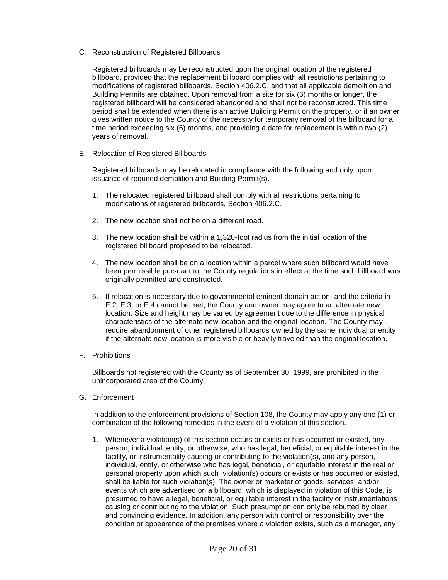# C. Reconstruction of Registered Billboards

 Registered billboards may be reconstructed upon the original location of the registered billboard, provided that the replacement billboard complies with all restrictions pertaining to modifications of registered billboards, Section 406.2.C, and that all applicable demolition and registered billboard will be considered abandoned and shall not be reconstructed. This time period shall be extended when there is an active Building Permit on the property, or if an owner gives written notice to the County of the necessity for temporary removal of the billboard for a time period exceeding six (6) months, and providing a date for replacement is within two (2) Building Permits are obtained. Upon removal from a site for six (6) months or longer, the years of removal.

# E. Relocation of Registered Billboards

 Registered billboards may be relocated in compliance with the following and only upon issuance of required demolition and Building Permit(s).

- 1. The relocated registered billboard shall comply with all restrictions pertaining to modifications of registered billboards, Section 406.2.C.
- 2. The new location shall not be on a different road.
- 3. The new location shall be within a 1,320-foot radius from the initial location of the registered billboard proposed to be relocated.
- 4. The new location shall be on a location within a parcel where such billboard would have been permissible pursuant to the County regulations in effect at the time such billboard was originally permitted and constructed.
- 5. If relocation is necessary due to governmental eminent domain action, and the criteria in E.2, E.3, or E.4 cannot be met, the County and owner may agree to an alternate new location. Size and height may be varied by agreement due to the difference in physical characteristics of the alternate new location and the original location. The County may require abandonment of other registered billboards owned by the same individual or entity if the alternate new location is more visible or heavily traveled than the original location.
- F. Prohibitions

Billboards not registered with the County as of September 30, 1999, are prohibited in the unincorporated area of the County.

G. Enforcement

 In addition to the enforcement provisions of Section 108, the County may apply any one (1) or combination of the following remedies in the event of a violation of this section.

 1. Whenever a violation(s) of this section occurs or exists or has occurred or existed, any personal property upon which such violation(s) occurs or exists or has occurred or existed, shall be liable for such violation(s). The owner or marketer of goods, services, and/or events which are advertised on a billboard, which is displayed in violation of this Code, is causing or contributing to the violation. Such presumption can only be rebutted by clear and convincing evidence. In addition, any person with control or responsibility over the person, individual, entity, or otherwise, who has legal, beneficial, or equitable interest in the facility, or instrumentality causing or contributing to the violation(s), and any person, individual, entity, or otherwise who has legal, beneficial, or equitable interest in the real or presumed to have a legal, beneficial, or equitable interest in the facility or instrumentations condition or appearance of the premises where a violation exists, such as a manager, any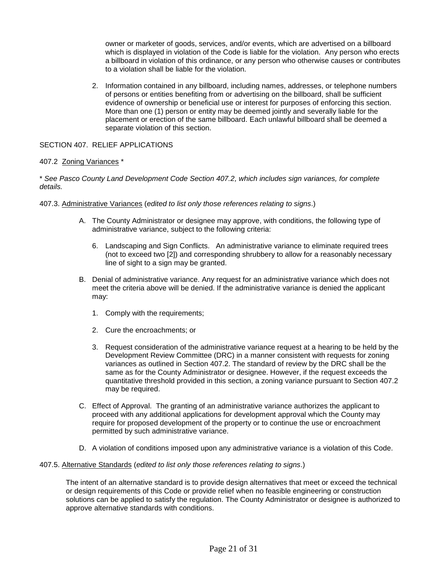owner or marketer of goods, services, and/or events, which are advertised on a billboard which is displayed in violation of the Code is liable for the violation. Any person who erects a billboard in violation of this ordinance, or any person who otherwise causes or contributes to a violation shall be liable for the violation.

 2. Information contained in any billboard, including names, addresses, or telephone numbers of persons or entities benefiting from or advertising on the billboard, shall be sufficient More than one (1) person or entity may be deemed jointly and severally liable for the placement or erection of the same billboard. Each unlawful billboard shall be deemed a separate violation of this section. evidence of ownership or beneficial use or interest for purposes of enforcing this section.

# SECTION 407. RELIEF APPLICATIONS

# 407.2 Zoning Variances \*

 \* *See Pasco County Land Development Code Section 407.2, which includes sign variances, for complete details.* 

#### 407.3. Administrative Variances (*edited to list only those references relating to signs*.)

- administrative variance, subject to the following criteria: A. The County Administrator or designee may approve, with conditions, the following type of
	- 6. Landscaping and Sign Conflicts. An administrative variance to eliminate required trees line of sight to a sign may be granted. (not to exceed two [2]) and corresponding shrubbery to allow for a reasonably necessary
- B. Denial of administrative variance. Any request for an administrative variance which does not meet the criteria above will be denied. If the administrative variance is denied the applicant may:
	- 1. Comply with the requirements;
	- 2. Cure the encroachments; or
	- 3. Request consideration of the administrative variance request at a hearing to be held by the variances as outlined in Section 407.2. The standard of review by the DRC shall be the same as for the County Administrator or designee. However, if the request exceeds the Development Review Committee (DRC) in a manner consistent with requests for zoning quantitative threshold provided in this section, a zoning variance pursuant to Section 407.2 may be required.
- proceed with any additional applications for development approval which the County may require for proposed development of the property or to continue the use or encroachment C. Effect of Approval. The granting of an administrative variance authorizes the applicant to permitted by such administrative variance.
- D. A violation of conditions imposed upon any administrative variance is a violation of this Code.

#### 407.5. Alternative Standards (*edited to list only those references relating to signs*.)

 or design requirements of this Code or provide relief when no feasible engineering or construction solutions can be applied to satisfy the regulation. The County Administrator or designee is authorized to The intent of an alternative standard is to provide design alternatives that meet or exceed the technical approve alternative standards with conditions.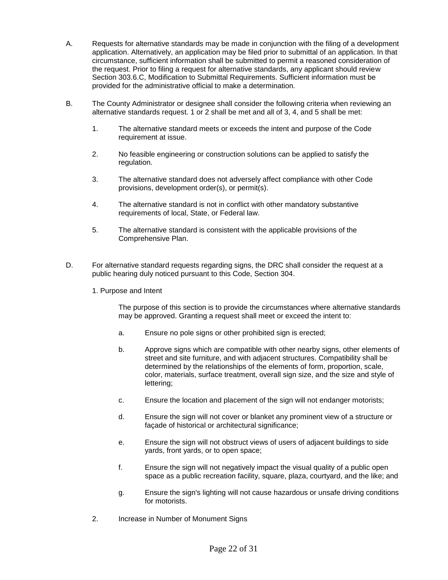- circumstance, sufficient information shall be submitted to permit a reasoned consideration of A. Requests for alternative standards may be made in conjunction with the filing of a development application. Alternatively, an application may be filed prior to submittal of an application. In that the request. Prior to filing a request for alternative standards, any applicant should review Section 303.6.C, Modification to Submittal Requirements. Sufficient information must be provided for the administrative official to make a determination.
- alternative standards request. 1 or 2 shall be met and all of 3, 4, and 5 shall be met: B. The County Administrator or designee shall consider the following criteria when reviewing an
	- 1. The alternative standard meets or exceeds the intent and purpose of the Code requirement at issue.
	- 2. No feasible engineering or construction solutions can be applied to satisfy the regulation.
	- 3. The alternative standard does not adversely affect compliance with other Code provisions, development order(s), or permit(s).
	- requirements of local, State, or Federal law. 4. The alternative standard is not in conflict with other mandatory substantive
	- 5. The alternative standard is consistent with the applicable provisions of the Comprehensive Plan.
- public hearing duly noticed pursuant to this Code, Section 304. D. For alternative standard requests regarding signs, the DRC shall consider the request at a
	- 1. Purpose and Intent

The purpose of this section is to provide the circumstances where alternative standards may be approved. Granting a request shall meet or exceed the intent to:

- a. Ensure no pole signs or other prohibited sign is erected;
- b. Approve signs which are compatible with other nearby signs, other elements of street and site furniture, and with adjacent structures. Compatibility shall be determined by the relationships of the elements of form, proportion, scale, color, materials, surface treatment, overall sign size, and the size and style of lettering;
- c. Ensure the location and placement of the sign will not endanger motorists;
- d. Ensure the sign will not cover or blanket any prominent view of a structure or façade of historical or architectural significance;
- e. Ensure the sign will not obstruct views of users of adjacent buildings to side yards, front yards, or to open space;
- f. Ensure the sign will not negatively impact the visual quality of a public open space as a public recreation facility, square, plaza, courtyard, and the like; and
- g. Ensure the sign's lighting will not cause hazardous or unsafe driving conditions for motorists.
- 2. Increase in Number of Monument Signs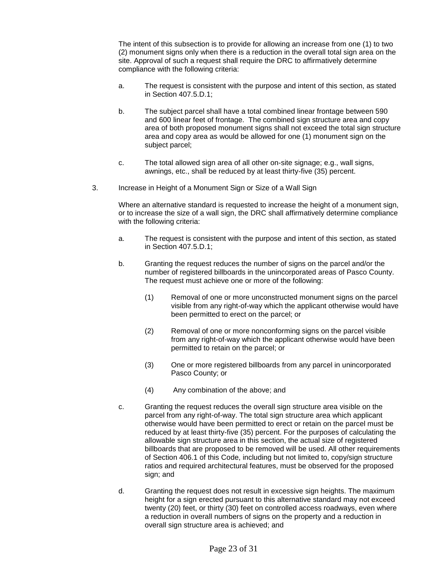site. Approval of such a request shall require the DRC to affirmatively determine The intent of this subsection is to provide for allowing an increase from one (1) to two (2) monument signs only when there is a reduction in the overall total sign area on the compliance with the following criteria:

- a. The request is consistent with the purpose and intent of this section, as stated in Section 407.5.D.1;
- area and copy area as would be allowed for one (1) monument sign on the subject parcel; b. The subject parcel shall have a total combined linear frontage between 590 and 600 linear feet of frontage. The combined sign structure area and copy area of both proposed monument signs shall not exceed the total sign structure
- subject parcel;<br>c. The total allowed sign area of all other on-site signage; e.g., wall signs, awnings, etc., shall be reduced by at least thirty-five (35) percent.
- awnings, etc., shall be reduced by at least thirty-five (35) percent.<br>3. Increase in Height of a Monument Sign or Size of a Wall Sign

Where an alternative standard is requested to increase the height of a monument sign, or to increase the size of a wall sign, the DRC shall affirmatively determine compliance with the following criteria:

- a. The request is consistent with the purpose and intent of this section, as stated in Section 407.5.D.1;
- b. Granting the request reduces the number of signs on the parcel and/or the number of registered billboards in the unincorporated areas of Pasco County. The request must achieve one or more of the following:
	- been permitted to erect on the parcel; or (1) Removal of one or more unconstructed monument signs on the parcel visible from any right-of-way which the applicant otherwise would have
	- permitted to retain on the parcel; or (2) Removal of one or more nonconforming signs on the parcel visible from any right-of-way which the applicant otherwise would have been
	- (3) One or more registered billboards from any parcel in unincorporated Pasco County; or
	- $(4)$ Any combination of the above; and
- reduced by at least thirty-five (35) percent. For the purposes of calculating the billboards that are proposed to be removed will be used. All other requirements c. Granting the request reduces the overall sign structure area visible on the parcel from any right-of-way. The total sign structure area which applicant otherwise would have been permitted to erect or retain on the parcel must be allowable sign structure area in this section, the actual size of registered of Section 406.1 of this Code, including but not limited to, copy/sign structure ratios and required architectural features, must be observed for the proposed sign; and
- height for a sign erected pursuant to this alternative standard may not exceed a reduction in overall numbers of signs on the property and a reduction in d. Granting the request does not result in excessive sign heights. The maximum twenty (20) feet, or thirty (30) feet on controlled access roadways, even where overall sign structure area is achieved; and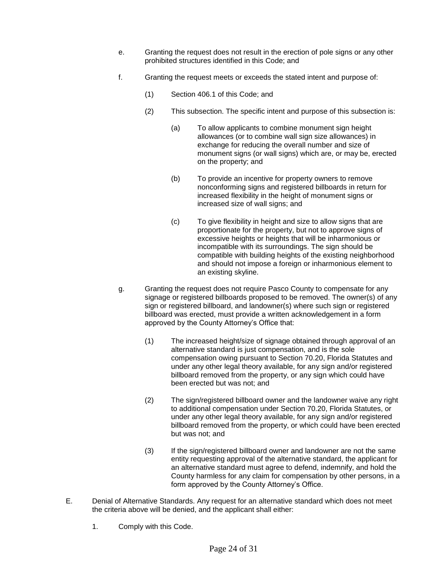- e. Granting the request does not result in the erection of pole signs or any other prohibited structures identified in this Code; and
- f. Granting the request meets or exceeds the stated intent and purpose of:
	- (1) Section 406.1 of this Code; and
	- (2) This subsection. The specific intent and purpose of this subsection is:
		- on the property; and (a) To allow applicants to combine monument sign height allowances (or to combine wall sign size allowances) in exchange for reducing the overall number and size of monument signs (or wall signs) which are, or may be, erected
		- increased size of wall signs; and (b) To provide an incentive for property owners to remove nonconforming signs and registered billboards in return for increased flexibility in the height of monument signs or
		- $(c)$ an existing skyline. To give flexibility in height and size to allow signs that are proportionate for the property, but not to approve signs of excessive heights or heights that will be inharmonious or incompatible with its surroundings. The sign should be compatible with building heights of the existing neighborhood and should not impose a foreign or inharmonious element to
- g. Granting the request does not require Pasco County to compensate for any signage or registered billboards proposed to be removed. The owner(s) of any sign or registered billboard, and landowner(s) where such sign or registered billboard was erected, must provide a written acknowledgement in a form approved by the County Attorney's Office that:
	- been erected but was not; and (1) The increased height/size of signage obtained through approval of an alternative standard is just compensation, and is the sole compensation owing pursuant to Section 70.20, Florida Statutes and under any other legal theory available, for any sign and/or registered billboard removed from the property, or any sign which could have
	- to additional compensation under Section 70.20, Florida Statutes, or (2) The sign/registered billboard owner and the landowner waive any right under any other legal theory available, for any sign and/or registered billboard removed from the property, or which could have been erected but was not; and
	- an alternative standard must agree to defend, indemnify, and hold the (3) If the sign/registered billboard owner and landowner are not the same entity requesting approval of the alternative standard, the applicant for County harmless for any claim for compensation by other persons, in a form approved by the County Attorney's Office.
- the criteria above will be denied, and the applicant shall either: E. Denial of Alternative Standards. Any request for an alternative standard which does not meet
	- 1. Comply with this Code.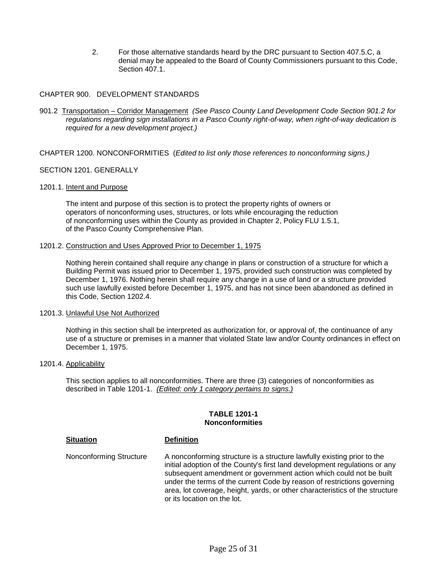2. For those alternative standards heard by the DRC pursuant to Section 407.5.C, a denial may be appealed to the Board of County Commissioners pursuant to this Code, Section 407.1.

# CHAPTER 900. DEVELOPMENT STANDARDS

CHAPTER 900. DEVELOPMENT STANDARDS<br>901.2 <u>Transportation – Corridor Management</u> *(See Pasco County Land Development Code Section 901.2 for regulations regarding sign installations in a Pasco County right-of-way, when right-of-way dedication is required for a new development project.)* 

CHAPTER 1200. NONCONFORMITIES (*Edited to list only those references to nonconforming signs.)* 

#### SECTION 1201. GENERALLY

#### 1201.1. Intent and Purpose

The intent and purpose of this section is to protect the property rights of owners or operators of nonconforming uses, structures, or lots while encouraging the reduction of nonconforming uses within the County as provided in Chapter 2, Policy FLU 1.5.1, of the Pasco County Comprehensive Plan.

#### 1201.2. Construction and Uses Approved Prior to December 1, 1975

 such use lawfully existed before December 1, 1975, and has not since been abandoned as defined in Nothing herein contained shall require any change in plans or construction of a structure for which a Building Permit was issued prior to December 1, 1975, provided such construction was completed by December 1, 1976. Nothing herein shall require any change in a use of land or a structure provided this Code, Section 1202.4.

#### 1201.3. Unlawful Use Not Authorized

 Nothing in this section shall be interpreted as authorization for, or approval of, the continuance of any use of a structure or premises in a manner that violated State law and/or County ordinances in effect on December 1, 1975.

#### 1201.4. Applicability

 described in Table 1201-1. *(Edited: only 1 category pertains to signs.)*  This section applies to all nonconformities. There are three (3) categories of nonconformities as

#### **TABLE 1201-1 Nonconformities**

#### **Situation Definition**

Nonconforming Structure subsequent amendment or government action which could not be built area, lot coverage, height, yards, or other characteristics of the structure or its location on the lot. A nonconforming structure is a structure lawfully existing prior to the initial adoption of the County's first land development regulations or any under the terms of the current Code by reason of restrictions governing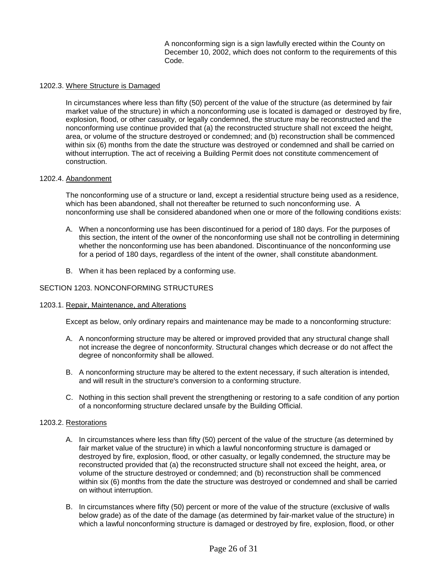A nonconforming sign is a sign lawfully erected within the County on December 10, 2002, which does not conform to the requirements of this Code.

#### 1202.3. Where Structure is Damaged

 market value of the structure) in which a nonconforming use is located is damaged or destroyed by fire, nonconforming use continue provided that (a) the reconstructed structure shall not exceed the height, In circumstances where less than fifty (50) percent of the value of the structure (as determined by fair explosion, flood, or other casualty, or legally condemned, the structure may be reconstructed and the area, or volume of the structure destroyed or condemned; and (b) reconstruction shall be commenced within six (6) months from the date the structure was destroyed or condemned and shall be carried on without interruption. The act of receiving a Building Permit does not constitute commencement of construction.

#### 1202.4. Abandonment

 The nonconforming use of a structure or land, except a residential structure being used as a residence, which has been abandoned, shall not thereafter be returned to such nonconforming use. A nonconforming use shall be considered abandoned when one or more of the following conditions exists:

- whether the nonconforming use has been abandoned. Discontinuance of the nonconforming use A. When a nonconforming use has been discontinued for a period of 180 days. For the purposes of this section, the intent of the owner of the nonconforming use shall not be controlling in determining for a period of 180 days, regardless of the intent of the owner, shall constitute abandonment.
- B. When it has been replaced by a conforming use.

#### SECTION 1203. NONCONFORMING STRUCTURES

#### 1203.1. Repair, Maintenance, and Alterations

Except as below, only ordinary repairs and maintenance may be made to a nonconforming structure:

- A. A nonconforming structure may be altered or improved provided that any structural change shall not increase the degree of nonconformity. Structural changes which decrease or do not affect the degree of nonconformity shall be allowed.
- B. A nonconforming structure may be altered to the extent necessary, if such alteration is intended, and will result in the structure's conversion to a conforming structure.
- C. Nothing in this section shall prevent the strengthening or restoring to a safe condition of any portion of a nonconforming structure declared unsafe by the Building Official.

#### 1203.2. Restorations

- A. In circumstances where less than fifty (50) percent of the value of the structure (as determined by fair market value of the structure) in which a lawful nonconforming structure is damaged or destroyed by fire, explosion, flood, or other casualty, or legally condemned, the structure may be reconstructed provided that (a) the reconstructed structure shall not exceed the height, area, or volume of the structure destroyed or condemned; and (b) reconstruction shall be commenced on without interruption. within six (6) months from the date the structure was destroyed or condemned and shall be carried
- B. In circumstances where fifty (50) percent or more of the value of the structure (exclusive of walls below grade) as of the date of the damage (as determined by fair-market value of the structure) in which a lawful nonconforming structure is damaged or destroyed by fire, explosion, flood, or other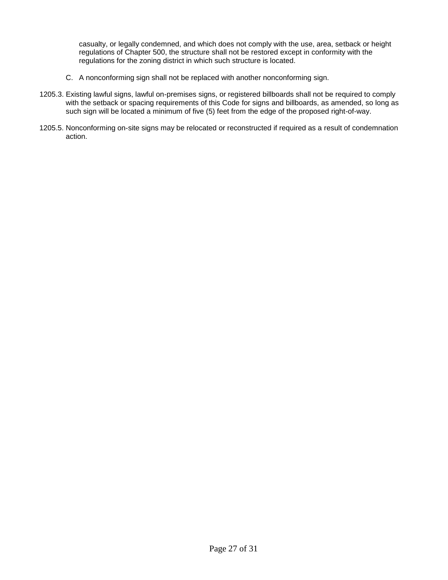casualty, or legally condemned, and which does not comply with the use, area, setback or height regulations of Chapter 500, the structure shall not be restored except in conformity with the regulations for the zoning district in which such structure is located.

- C. A nonconforming sign shall not be replaced with another nonconforming sign.
- 1205.3. Existing lawful signs, lawful on-premises signs, or registered billboards shall not be required to comply with the setback or spacing requirements of this Code for signs and billboards, as amended, so long as such sign will be located a minimum of five (5) feet from the edge of the proposed right-of-way.
- 1205.5. Nonconforming on-site signs may be relocated or reconstructed if required as a result of condemnation action.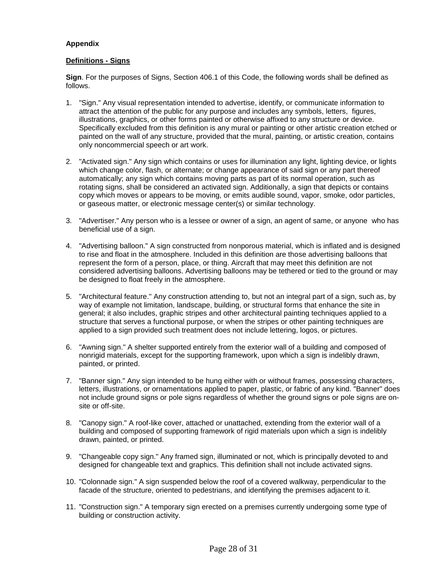# **Appendix**

# **Definitions - Signs**

 **Sign**. For the purposes of Signs, Section 406.1 of this Code, the following words shall be defined as follows.

- 1. "Sign." Any visual representation intended to advertise, identify, or communicate information to painted on the wall of any structure, provided that the mural, painting, or artistic creation, contains attract the attention of the public for any purpose and includes any symbols, letters, figures, illustrations, graphics, or other forms painted or otherwise affixed to any structure or device. Specifically excluded from this definition is any mural or painting or other artistic creation etched or only noncommercial speech or art work.
- 2. "Activated sign." Any sign which contains or uses for illumination any light, lighting device, or lights rotating signs, shall be considered an activated sign. Additionally, a sign that depicts or contains which change color, flash, or alternate; or change appearance of said sign or any part thereof automatically; any sign which contains moving parts as part of its normal operation, such as copy which moves or appears to be moving, or emits audible sound, vapor, smoke, odor particles, or gaseous matter, or electronic message center(s) or similar technology.
- 3. "Advertiser." Any person who is a lessee or owner of a sign, an agent of same, or anyone who has beneficial use of a sign.
- to rise and float in the atmosphere. Included in this definition are those advertising balloons that considered advertising balloons. Advertising balloons may be tethered or tied to the ground or may 4. "Advertising balloon." A sign constructed from nonporous material, which is inflated and is designed represent the form of a person, place, or thing. Aircraft that may meet this definition are not be designed to float freely in the atmosphere.
- 5. "Architectural feature." Any construction attending to, but not an integral part of a sign, such as, by general; it also includes, graphic stripes and other architectural painting techniques applied to a way of example not limitation, landscape, building, or structural forms that enhance the site in structure that serves a functional purpose, or when the stripes or other painting techniques are applied to a sign provided such treatment does not include lettering, logos, or pictures.
- 6. "Awning sign." A shelter supported entirely from the exterior wall of a building and composed of nonrigid materials, except for the supporting framework, upon which a sign is indelibly drawn, painted, or printed.
- 7. "Banner sign." Any sign intended to be hung either with or without frames, possessing characters, letters, illustrations, or ornamentations applied to paper, plastic, or fabric of any kind. "Banner" does not include ground signs or pole signs regardless of whether the ground signs or pole signs are onsite or off-site.
- building and composed of supporting framework of rigid materials upon which a sign is indelibly 8. "Canopy sign." A roof-like cover, attached or unattached, extending from the exterior wall of a drawn, painted, or printed.
- 9. "Changeable copy sign." Any framed sign, illuminated or not, which is principally devoted to and designed for changeable text and graphics. This definition shall not include activated signs.
- facade of the structure, oriented to pedestrians, and identifying the premises adjacent to it. 10. "Colonnade sign." A sign suspended below the roof of a covered walkway, perpendicular to the
- 11. "Construction sign." A temporary sign erected on a premises currently undergoing some type of building or construction activity.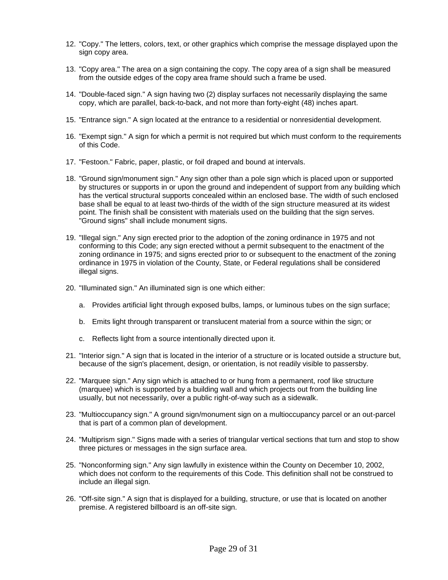- sign copy area. 12. "Copy." The letters, colors, text, or other graphics which comprise the message displayed upon the
- 13. "Copy area." The area on a sign containing the copy. The copy area of a sign shall be measured from the outside edges of the copy area frame should such a frame be used.
- 14. "Double-faced sign." A sign having two (2) display surfaces not necessarily displaying the same copy, which are parallel, back-to-back, and not more than forty-eight (48) inches apart.
- 15. "Entrance sign." A sign located at the entrance to a residential or nonresidential development.
- 16. "Exempt sign." A sign for which a permit is not required but which must conform to the requirements of this Code.
- 17. "Festoon." Fabric, paper, plastic, or foil draped and bound at intervals.
- by structures or supports in or upon the ground and independent of support from any building which has the vertical structural supports concealed within an enclosed base. The width of such enclosed base shall be equal to at least two-thirds of the width of the sign structure measured at its widest 18. "Ground sign/monument sign." Any sign other than a pole sign which is placed upon or supported point. The finish shall be consistent with materials used on the building that the sign serves. "Ground signs" shall include monument signs.
- 19. "Illegal sign." Any sign erected prior to the adoption of the zoning ordinance in 1975 and not conforming to this Code; any sign erected without a permit subsequent to the enactment of the zoning ordinance in 1975; and signs erected prior to or subsequent to the enactment of the zoning ordinance in 1975 in violation of the County, State, or Federal regulations shall be considered illegal signs.
- 20. "Illuminated sign." An illuminated sign is one which either:
	- a. Provides artificial light through exposed bulbs, lamps, or luminous tubes on the sign surface;
	- b. Emits light through transparent or translucent material from a source within the sign; or
	- c. Reflects light from a source intentionally directed upon it.
- 21. "Interior sign." A sign that is located in the interior of a structure or is located outside a structure but, because of the sign's placement, design, or orientation, is not readily visible to passersby.
- 22. "Marquee sign." Any sign which is attached to or hung from a permanent, roof like structure (marquee) which is supported by a building wall and which projects out from the building line usually, but not necessarily, over a public right-of-way such as a sidewalk.
- 23. "Multioccupancy sign." A ground sign/monument sign on a multioccupancy parcel or an out-parcel that is part of a common plan of development.
- 24. "Multiprism sign." Signs made with a series of triangular vertical sections that turn and stop to show three pictures or messages in the sign surface area.
- 25. "Nonconforming sign." Any sign lawfully in existence within the County on December 10, 2002, include an illegal sign. which does not conform to the requirements of this Code. This definition shall not be construed to
- 26. "Off-site sign." A sign that is displayed for a building, structure, or use that is located on another premise. A registered billboard is an off-site sign.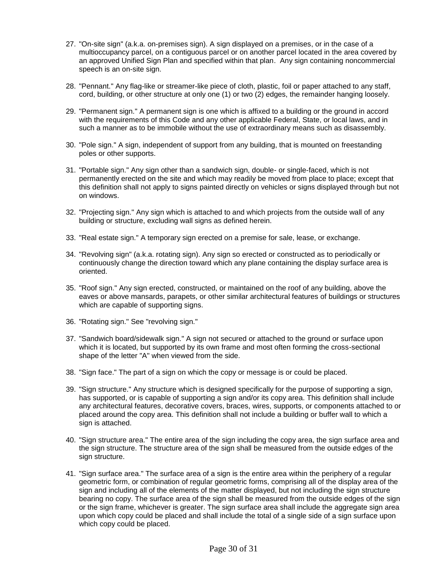- 27. "On-site sign" (a.k.a. on-premises sign). A sign displayed on a premises, or in the case of a an approved Unified Sign Plan and specified within that plan. Any sign containing noncommercial multioccupancy parcel, on a contiguous parcel or on another parcel located in the area covered by speech is an on-site sign.
- 28. "Pennant." Any flag-like or streamer-like piece of cloth, plastic, foil or paper attached to any staff, cord, building, or other structure at only one (1) or two (2) edges, the remainder hanging loosely.
- with the requirements of this Code and any other applicable Federal, State, or local laws, and in such a manner as to be immobile without the use of extraordinary means such as disassembly. 29. "Permanent sign." A permanent sign is one which is affixed to a building or the ground in accord
- 30. "Pole sign." A sign, independent of support from any building, that is mounted on freestanding poles or other supports.
- this definition shall not apply to signs painted directly on vehicles or signs displayed through but not on windows. 31. "Portable sign." Any sign other than a sandwich sign, double- or single-faced, which is not permanently erected on the site and which may readily be moved from place to place; except that
- 32. "Projecting sign." Any sign which is attached to and which projects from the outside wall of any building or structure, excluding wall signs as defined herein.
- 33. "Real estate sign." A temporary sign erected on a premise for sale, lease, or exchange.
- continuously change the direction toward which any plane containing the display surface area is 34. "Revolving sign" (a.k.a. rotating sign). Any sign so erected or constructed as to periodically or oriented.
- 35. "Roof sign." Any sign erected, constructed, or maintained on the roof of any building, above the eaves or above mansards, parapets, or other similar architectural features of buildings or structures which are capable of supporting signs.
- 36. "Rotating sign." See "revolving sign."
- 37. "Sandwich board/sidewalk sign." A sign not secured or attached to the ground or surface upon which it is located, but supported by its own frame and most often forming the cross-sectional shape of the letter "A" when viewed from the side.
- 38. "Sign face." The part of a sign on which the copy or message is or could be placed.
- 39. "Sign structure." Any structure which is designed specifically for the purpose of supporting a sign, has supported, or is capable of supporting a sign and/or its copy area. This definition shall include any architectural features, decorative covers, braces, wires, supports, or components attached to or placed around the copy area. This definition shall not include a building or buffer wall to which a sign is attached.
- 40. "Sign structure area." The entire area of the sign including the copy area, the sign surface area and the sign structure. The structure area of the sign shall be measured from the outside edges of the sign structure.
- sign and including all of the elements of the matter displayed, but not including the sign structure bearing no copy. The surface area of the sign shall be measured from the outside edges of the sign or the sign frame, whichever is greater. The sign surface area shall include the aggregate sign area 41. "Sign surface area." The surface area of a sign is the entire area within the periphery of a regular geometric form, or combination of regular geometric forms, comprising all of the display area of the upon which copy could be placed and shall include the total of a single side of a sign surface upon which copy could be placed.